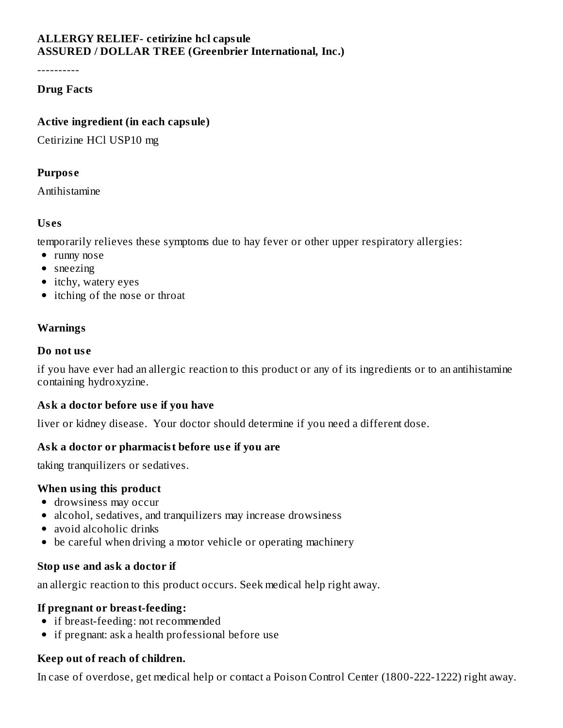## **ALLERGY RELIEF- cetirizine hcl capsule ASSURED / DOLLAR TREE (Greenbrier International, Inc.)**

----------

#### **Drug Facts**

#### **Active ingredient (in each capsule)**

Cetirizine HCl USP10 mg

#### **Purpos e**

Antihistamine

#### **Us es**

temporarily relieves these symptoms due to hay fever or other upper respiratory allergies:

- runny nose
- sneezing
- itchy, watery eyes
- itching of the nose or throat

## **Warnings**

#### **Do not us e**

if you have ever had an allergic reaction to this product or any of its ingredients or to an antihistamine containing hydroxyzine.

## **Ask a doctor before us e if you have**

liver or kidney disease. Your doctor should determine if you need a different dose.

## **Ask a doctor or pharmacist before us e if you are**

taking tranquilizers or sedatives.

#### **When using this product**

- drowsiness may occur
- alcohol, sedatives, and tranquilizers may increase drowsiness
- avoid alcoholic drinks
- be careful when driving a motor vehicle or operating machinery

## **Stop us e and ask a doctor if**

an allergic reaction to this product occurs. Seek medical help right away.

#### **If pregnant or breast-feeding:**

- if breast-feeding: not recommended
- if pregnant: ask a health professional before use

## **Keep out of reach of children.**

In case of overdose, get medical help or contact a Poison Control Center (1800-222-1222) right away.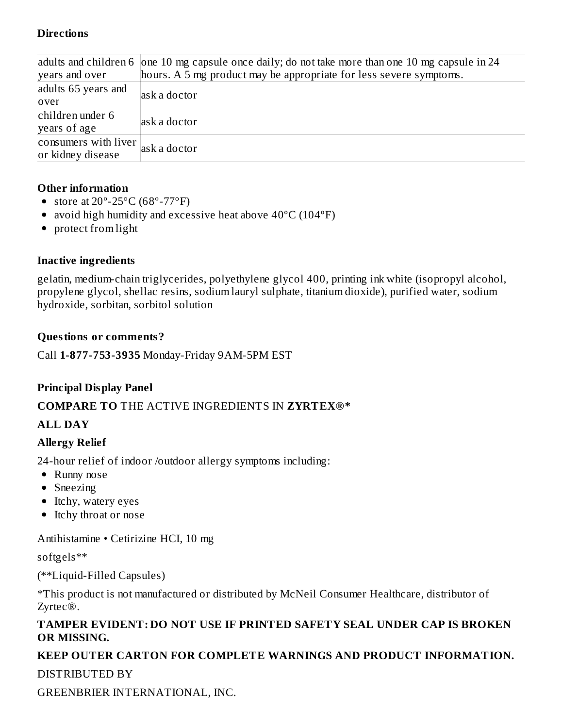#### **Directions**

|                      | adults and children 6 one 10 mg capsule once daily; do not take more than one 10 mg capsule in 24 |
|----------------------|---------------------------------------------------------------------------------------------------|
| years and over       | hours. A 5 mg product may be appropriate for less severe symptoms.                                |
| adults 65 years and  | ask a doctor                                                                                      |
| over                 |                                                                                                   |
| children under 6     | ask a doctor                                                                                      |
| years of age         |                                                                                                   |
| consumers with liver | ask a doctor                                                                                      |
| or kidney disease    |                                                                                                   |

#### **Other information**

- store at  $20^{\circ}$ -25 $^{\circ}$ C (68 $^{\circ}$ -77 $^{\circ}$ F)
- avoid high humidity and excessive heat above 40°C (104°F)
- protect from light

#### **Inactive ingredients**

gelatin, medium-chain triglycerides, polyethylene glycol 400, printing ink white (isopropyl alcohol, propylene glycol, shellac resins, sodium lauryl sulphate, titanium dioxide), purified water, sodium hydroxide, sorbitan, sorbitol solution

#### **Questions or comments?**

Call **1-877-753-3935** Monday-Friday 9AM-5PM EST

## **Principal Display Panel**

## **COMPARE TO** THE ACTIVE INGREDIENTS IN **ZYRTEX®\***

## **ALL DAY**

## **Allergy Relief**

24-hour relief of indoor /outdoor allergy symptoms including:

- Runny nose
- Sneezing
- Itchy, watery eyes
- Itchy throat or nose

Antihistamine • Cetirizine HCI, 10 mg

softgels\*\*

(\*\*Liquid-Filled Capsules)

\*This product is not manufactured or distributed by McNeil Consumer Healthcare, distributor of Zyrtec®.

#### **TAMPER EVIDENT: DO NOT USE IF PRINTED SAFETY SEAL UNDER CAP IS BROKEN OR MISSING.**

# **KEEP OUTER CARTON FOR COMPLETE WARNINGS AND PRODUCT INFORMATION.**

## DISTRIBUTED BY

GREENBRIER INTERNATIONAL, INC.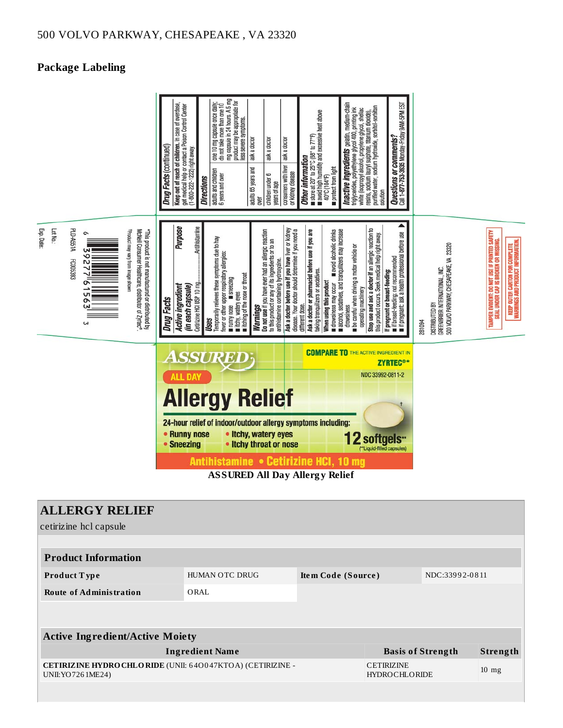## **Package Labeling**



| <b>ALLERGY RELIEF</b>                                                               |                          |                                           |                 |                |  |  |  |  |  |  |
|-------------------------------------------------------------------------------------|--------------------------|-------------------------------------------|-----------------|----------------|--|--|--|--|--|--|
| cetirizine hcl capsule                                                              |                          |                                           |                 |                |  |  |  |  |  |  |
|                                                                                     |                          |                                           |                 |                |  |  |  |  |  |  |
| <b>Product Information</b>                                                          |                          |                                           |                 |                |  |  |  |  |  |  |
| <b>Product Type</b>                                                                 | HUMAN OTC DRUG           | Item Code (Source)                        |                 | NDC:33992-0811 |  |  |  |  |  |  |
| <b>Route of Administration</b>                                                      | ORAL                     |                                           |                 |                |  |  |  |  |  |  |
|                                                                                     |                          |                                           |                 |                |  |  |  |  |  |  |
|                                                                                     |                          |                                           |                 |                |  |  |  |  |  |  |
| <b>Active Ingredient/Active Moiety</b>                                              |                          |                                           |                 |                |  |  |  |  |  |  |
| <b>Ingredient Name</b>                                                              | <b>Basis of Strength</b> |                                           | <b>Strength</b> |                |  |  |  |  |  |  |
| CETIRIZINE HYDRO CHLO RIDE (UNII: 640047KTOA) (CETIRIZINE -<br>UNII: YO 726 1ME 24) |                          | <b>CETIRIZINE</b><br><b>HYDROCHLORIDE</b> |                 | $10$ mg        |  |  |  |  |  |  |
|                                                                                     |                          |                                           |                 |                |  |  |  |  |  |  |